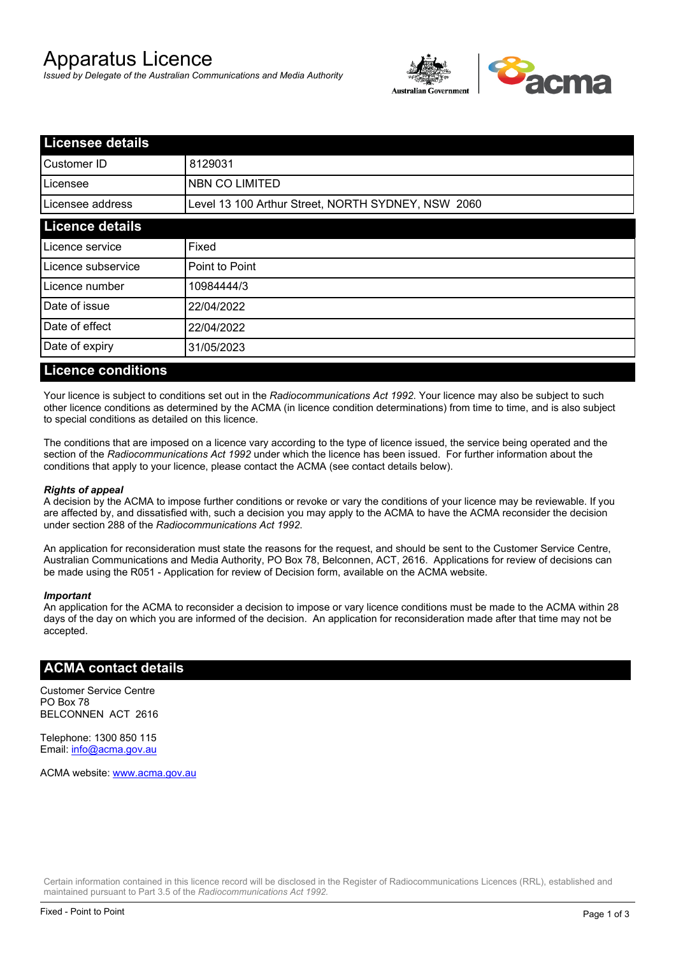# Apparatus Licence

*Issued by Delegate of the Australian Communications and Media Authority*



| <b>Licensee details</b> |                                                    |  |
|-------------------------|----------------------------------------------------|--|
| Customer ID             | 8129031                                            |  |
| ILicensee               | <b>NBN CO LIMITED</b>                              |  |
| Licensee address        | Level 13 100 Arthur Street, NORTH SYDNEY, NSW 2060 |  |
| <b>Licence details</b>  |                                                    |  |
| Licence service         | Fixed                                              |  |
| Licence subservice      | Point to Point                                     |  |
| Licence number          | 10984444/3                                         |  |
| Date of issue           | 22/04/2022                                         |  |
| Date of effect          | 22/04/2022                                         |  |
| Date of expiry          | 31/05/2023                                         |  |
|                         |                                                    |  |

#### **Licence conditions**

Your licence is subject to conditions set out in the *Radiocommunications Act 1992*. Your licence may also be subject to such other licence conditions as determined by the ACMA (in licence condition determinations) from time to time, and is also subject to special conditions as detailed on this licence.

The conditions that are imposed on a licence vary according to the type of licence issued, the service being operated and the section of the *Radiocommunications Act 1992* under which the licence has been issued. For further information about the conditions that apply to your licence, please contact the ACMA (see contact details below).

#### *Rights of appeal*

A decision by the ACMA to impose further conditions or revoke or vary the conditions of your licence may be reviewable. If you are affected by, and dissatisfied with, such a decision you may apply to the ACMA to have the ACMA reconsider the decision under section 288 of the *Radiocommunications Act 1992*.

An application for reconsideration must state the reasons for the request, and should be sent to the Customer Service Centre, Australian Communications and Media Authority, PO Box 78, Belconnen, ACT, 2616. Applications for review of decisions can be made using the R051 - Application for review of Decision form, available on the ACMA website.

#### *Important*

An application for the ACMA to reconsider a decision to impose or vary licence conditions must be made to the ACMA within 28 days of the day on which you are informed of the decision. An application for reconsideration made after that time may not be accepted.

#### **ACMA contact details**

Customer Service Centre PO Box 78 BELCONNEN ACT 2616

Telephone: 1300 850 115 Email: info@acma.gov.au

ACMA website: www.acma.gov.au

Certain information contained in this licence record will be disclosed in the Register of Radiocommunications Licences (RRL), established and maintained pursuant to Part 3.5 of the *Radiocommunications Act 1992.*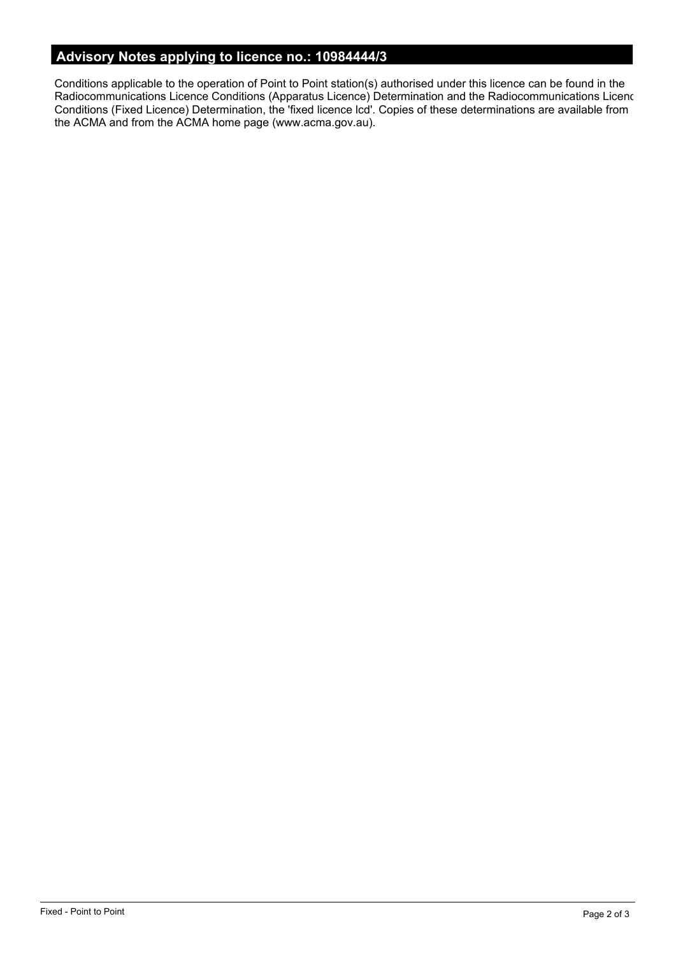# **Advisory Notes applying to licence no.: 10984444/3**

Conditions applicable to the operation of Point to Point station(s) authorised under this licence can be found in the Radiocommunications Licence Conditions (Apparatus Licence) Determination and the Radiocommunications Licence Conditions (Fixed Licence) Determination, the 'fixed licence lcd'. Copies of these determinations are available from the ACMA and from the ACMA home page (www.acma.gov.au).